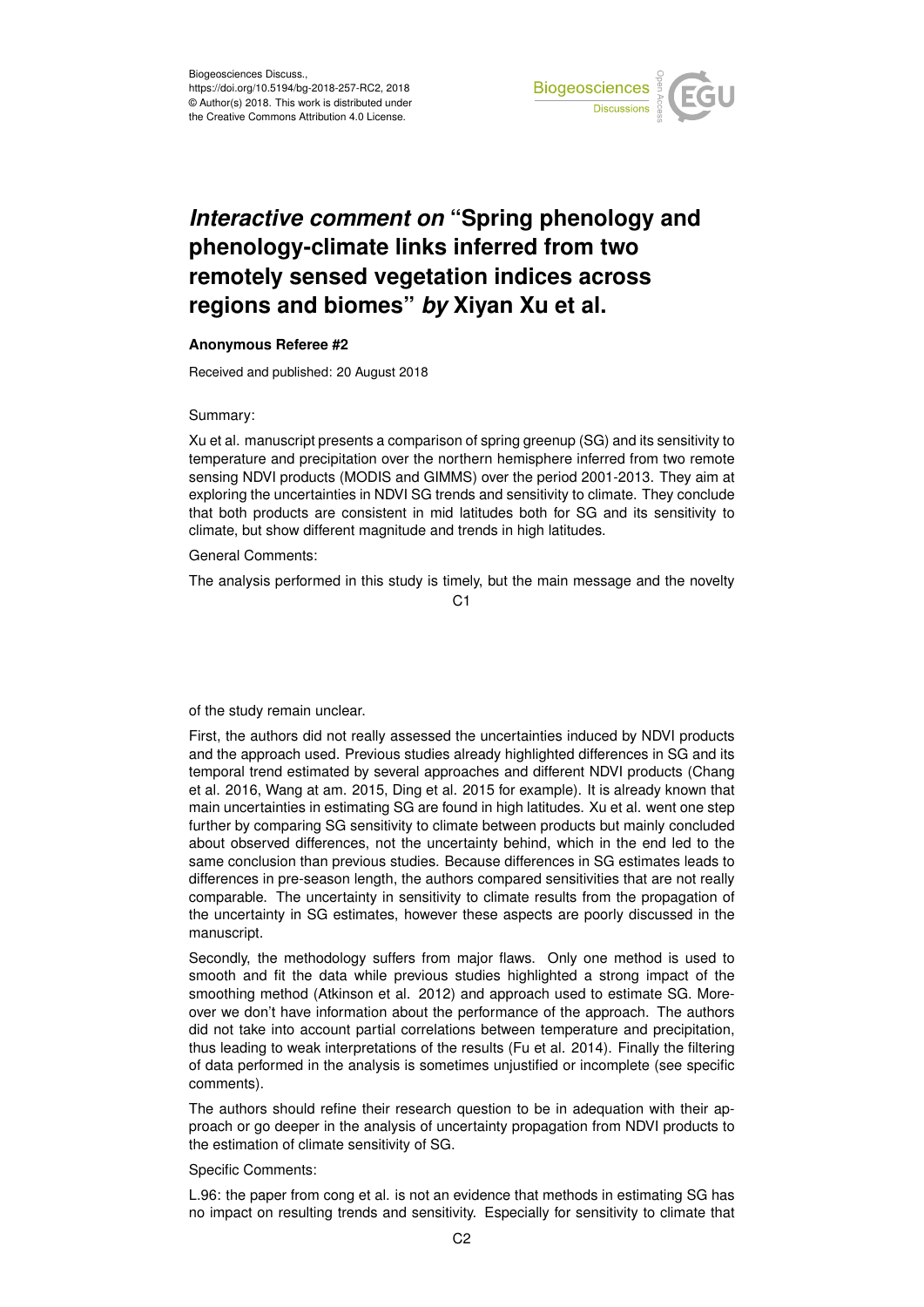

## *Interactive comment on* **"Spring phenology and phenology-climate links inferred from two remotely sensed vegetation indices across regions and biomes"** *by* **Xiyan Xu et al.**

## **Anonymous Referee #2**

Received and published: 20 August 2018

Summary:

Xu et al. manuscript presents a comparison of spring greenup (SG) and its sensitivity to temperature and precipitation over the northern hemisphere inferred from two remote sensing NDVI products (MODIS and GIMMS) over the period 2001-2013. They aim at exploring the uncertainties in NDVI SG trends and sensitivity to climate. They conclude that both products are consistent in mid latitudes both for SG and its sensitivity to climate, but show different magnitude and trends in high latitudes.

General Comments:

The analysis performed in this study is timely, but the main message and the novelty

 $C<sub>1</sub>$ 

of the study remain unclear.

First, the authors did not really assessed the uncertainties induced by NDVI products and the approach used. Previous studies already highlighted differences in SG and its temporal trend estimated by several approaches and different NDVI products (Chang et al. 2016, Wang at am. 2015, Ding et al. 2015 for example). It is already known that main uncertainties in estimating SG are found in high latitudes. Xu et al. went one step further by comparing SG sensitivity to climate between products but mainly concluded about observed differences, not the uncertainty behind, which in the end led to the same conclusion than previous studies. Because differences in SG estimates leads to differences in pre-season length, the authors compared sensitivities that are not really comparable. The uncertainty in sensitivity to climate results from the propagation of the uncertainty in SG estimates, however these aspects are poorly discussed in the manuscript.

Secondly, the methodology suffers from major flaws. Only one method is used to smooth and fit the data while previous studies highlighted a strong impact of the smoothing method (Atkinson et al. 2012) and approach used to estimate SG. Moreover we don't have information about the performance of the approach. The authors did not take into account partial correlations between temperature and precipitation, thus leading to weak interpretations of the results (Fu et al. 2014). Finally the filtering of data performed in the analysis is sometimes unjustified or incomplete (see specific comments).

The authors should refine their research question to be in adequation with their approach or go deeper in the analysis of uncertainty propagation from NDVI products to the estimation of climate sensitivity of SG.

Specific Comments:

L.96: the paper from cong et al. is not an evidence that methods in estimating SG has no impact on resulting trends and sensitivity. Especially for sensitivity to climate that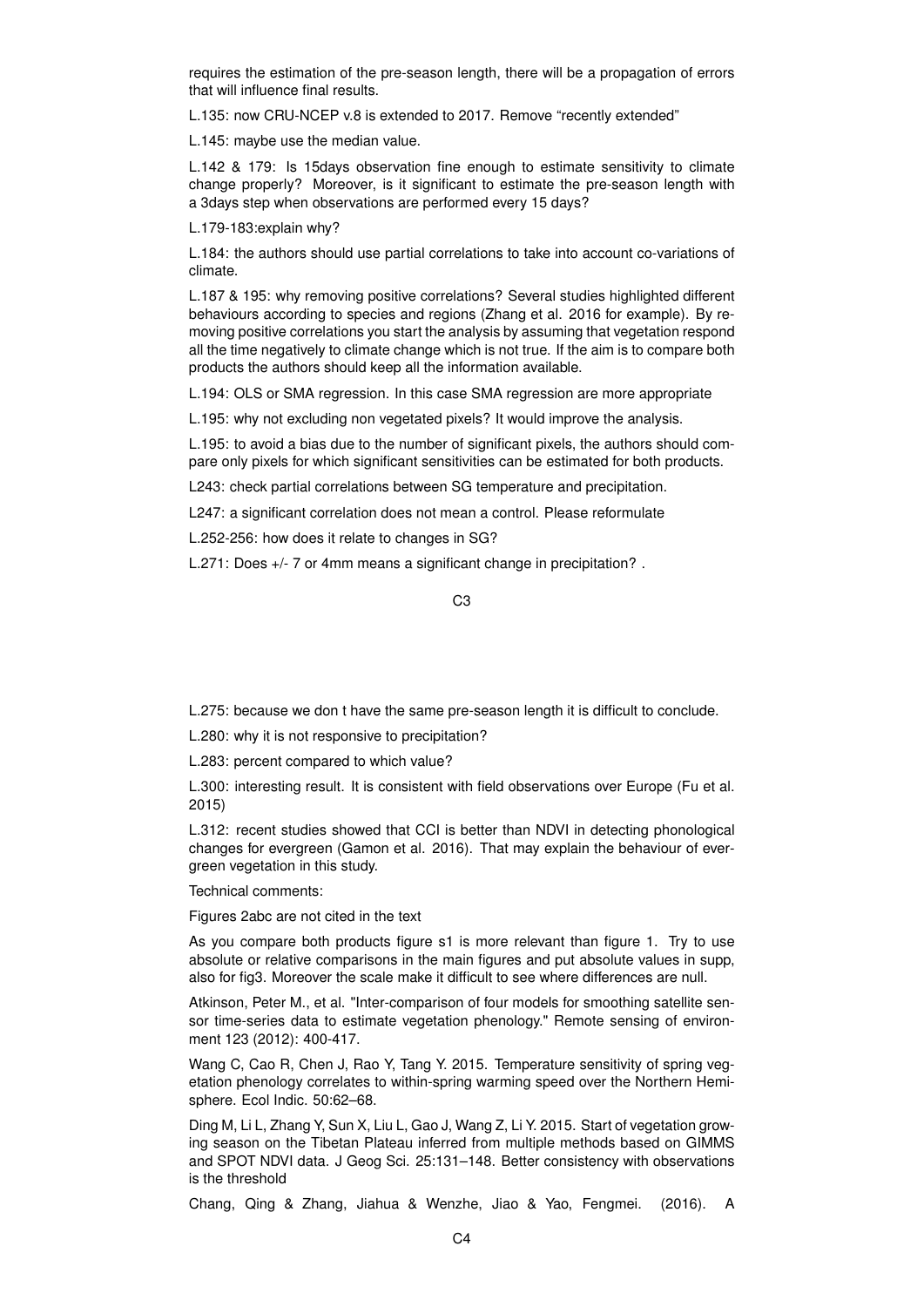requires the estimation of the pre-season length, there will be a propagation of errors that will influence final results.

L.135: now CRU-NCEP v.8 is extended to 2017. Remove "recently extended"

L.145: maybe use the median value.

L.142 & 179: Is 15days observation fine enough to estimate sensitivity to climate change properly? Moreover, is it significant to estimate the pre-season length with a 3days step when observations are performed every 15 days?

L.179-183:explain why?

L.184: the authors should use partial correlations to take into account co-variations of climate.

L.187 & 195: why removing positive correlations? Several studies highlighted different behaviours according to species and regions (Zhang et al. 2016 for example). By removing positive correlations you start the analysis by assuming that vegetation respond all the time negatively to climate change which is not true. If the aim is to compare both products the authors should keep all the information available.

L.194: OLS or SMA regression. In this case SMA regression are more appropriate

L.195: why not excluding non vegetated pixels? It would improve the analysis.

L.195: to avoid a bias due to the number of significant pixels, the authors should compare only pixels for which significant sensitivities can be estimated for both products.

L243: check partial correlations between SG temperature and precipitation.

L247: a significant correlation does not mean a control. Please reformulate

L.252-256: how does it relate to changes in SG?

L.271: Does +/- 7 or 4mm means a significant change in precipitation? .

C3

L.275: because we don t have the same pre-season length it is difficult to conclude.

L.280: why it is not responsive to precipitation?

L.283: percent compared to which value?

L.300: interesting result. It is consistent with field observations over Europe (Fu et al. 2015)

L.312: recent studies showed that CCI is better than NDVI in detecting phonological changes for evergreen (Gamon et al. 2016). That may explain the behaviour of evergreen vegetation in this study.

Technical comments:

Figures 2abc are not cited in the text

As you compare both products figure s1 is more relevant than figure 1. Try to use absolute or relative comparisons in the main figures and put absolute values in supp, also for fig3. Moreover the scale make it difficult to see where differences are null.

Atkinson, Peter M., et al. "Inter-comparison of four models for smoothing satellite sensor time-series data to estimate vegetation phenology." Remote sensing of environment 123 (2012): 400-417.

Wang C, Cao R, Chen J, Rao Y, Tang Y. 2015. Temperature sensitivity of spring vegetation phenology correlates to within-spring warming speed over the Northern Hemisphere. Ecol Indic. 50:62–68.

Ding M, Li L, Zhang Y, Sun X, Liu L, Gao J, Wang Z, Li Y. 2015. Start of vegetation growing season on the Tibetan Plateau inferred from multiple methods based on GIMMS and SPOT NDVI data. J Geog Sci. 25:131–148. Better consistency with observations is the threshold

Chang, Qing & Zhang, Jiahua & Wenzhe, Jiao & Yao, Fengmei. (2016). A